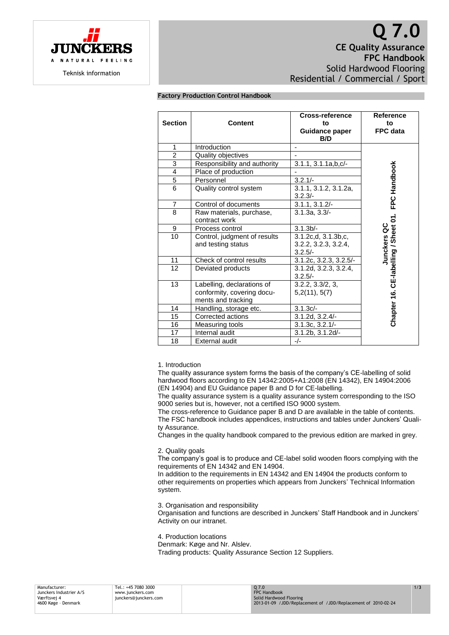

# **Q 7.0 CE Quality Assurance FPC Handbook** Solid Hardwood Flooring Residential / Commercial / Sport

# **Factory Production Control Handbook**

| <b>Section</b>  | <b>Content</b>                                                                 | Cross-reference<br>to<br>Guidance paper<br>B/D           | <b>Reference</b><br>to<br>FPC data     |
|-----------------|--------------------------------------------------------------------------------|----------------------------------------------------------|----------------------------------------|
| 1               | Introduction                                                                   |                                                          |                                        |
| $\overline{2}$  | Quality objectives                                                             |                                                          |                                        |
| 3               | Responsibility and authority                                                   | $3.1.1, 3.1.1a, b, c/-$                                  |                                        |
| $\overline{4}$  | Place of production                                                            |                                                          |                                        |
| $\overline{5}$  | Personnel                                                                      | $3.2.1/-$                                                |                                        |
| 6               | Quality control system                                                         | 3.1.1, 3.1.2, 3.1.2a,<br>$3.2.3/-$                       | FPC Handbook                           |
| $\overline{7}$  | Control of documents                                                           | $3.1.1, 3.1.2/$ -                                        |                                        |
| 8               | Raw materials, purchase,<br>contract work                                      | 3.1.3a.3.3/                                              |                                        |
| 9               | Process control                                                                | 3.1.3 <sub>b</sub>                                       |                                        |
| 10              | Control, judgment of results<br>and testing status                             | 3.1.2c.d. 3.1.3b.c.<br>3.2.2, 3.2.3, 3.2.4,<br>$3.2.5/-$ | CE-labelling / Sheet 01<br>Junckers QC |
| 11              | Check of control results                                                       | 3.1.2c, 3.2.3, 3.2.5/                                    |                                        |
| $\overline{12}$ | Deviated products                                                              | 3.1.2d, 3.2.3, 3.2.4,<br>$3.2.5/-$                       |                                        |
| 13              | Labelling, declarations of<br>conformity, covering docu-<br>ments and tracking | 3.2.2, 3.3/2, 3,<br>5,2(11), 5(7)                        | Chapter 16.                            |
| 14              | Handling, storage etc.                                                         | $3.1.3c/-$                                               |                                        |
| 15              | Corrected actions                                                              | $3.1.2d, 3.2.4/-$                                        |                                        |
| 16              | Measuring tools                                                                | $3.1.3c, 3.2.1/-$                                        |                                        |
| 17              | Internal audit                                                                 | 3.1.2b, 3.1.2d/-                                         |                                        |
| 18              | <b>External audit</b>                                                          | $-/-$                                                    |                                        |

## 1. Introduction

The quality assurance system forms the basis of the company's CE-labelling of solid hardwood floors according to EN 14342:2005+A1:2008 (EN 14342), EN 14904:2006 (EN 14904) and EU Guidance paper B and D for CE-labelling.

The quality assurance system is a quality assurance system corresponding to the ISO 9000 series but is, however, not a certified ISO 9000 system.

The cross-reference to Guidance paper B and D are available in the table of contents. The FSC handbook includes appendices, instructions and tables under Junckers' Quality Assurance.

Changes in the quality handbook compared to the previous edition are marked in grey.

#### 2. Quality goals

The company's goal is to produce and CE-label solid wooden floors complying with the requirements of EN 14342 and EN 14904.

In addition to the requirements in EN 14342 and EN 14904 the products conform to other requirements on properties which appears from Junckers' Technical Information system.

3. Organisation and responsibility

Organisation and functions are described in Junckers' Staff Handbook and in Junckers' Activity on our intranet.

4. Production locations

Denmark: Køge and Nr. Alslev.

Trading products: Quality Assurance Section 12 Suppliers.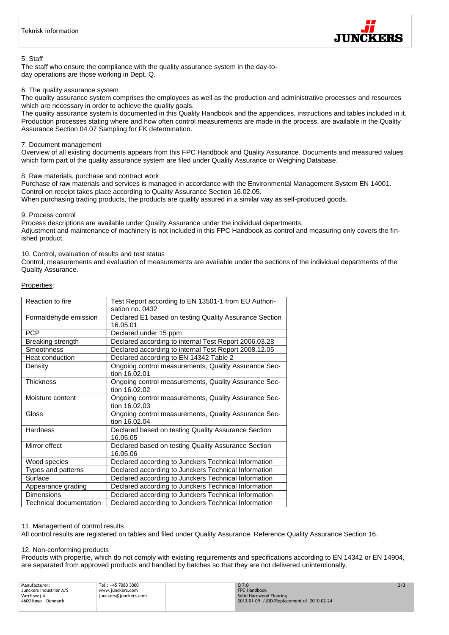

## 5: Staff

The staff who ensure the compliance with the quality assurance system in the day-today operations are those working in Dept. Q.

## 6. The quality assurance system

The quality assurance system comprises the employees as well as the production and administrative processes and resources which are necessary in order to achieve the quality goals.

The quality assurance system is documented in this Quality Handbook and the appendices, instructions and tables included in it. Production processes stating where and how often control measurements are made in the process, are available in the Quality Assurance Section 04.07 Sampling for FK determination.

## 7. Document management

Overview of all existing documents appears from this FPC Handbook and Quality Assurance. Documents and measured values which form part of the quality assurance system are filed under Quality Assurance or Weighing Database.

## 8. Raw materials, purchase and contract work

Purchase of raw materials and services is managed in accordance with the Environmental Management System EN 14001. Control on receipt takes place according to Quality Assurance Section 16.02.05. When purchasing trading products, the products are quality assured in a similar way as self-produced goods.

## 9. Process control

Process descriptions are available under Quality Assurance under the individual departments. Adjustment and maintenance of machinery is not included in this FPC Handbook as control and measuring only covers the finished product.

## 10. Control, evaluation of results and test status

Control, measurements and evaluation of measurements are available under the sections of the individual departments of the Quality Assurance.

## Properties:

| Reaction to fire        | Test Report according to EN 13501-1 from EU Authori-<br>sation no. 0432 |  |  |
|-------------------------|-------------------------------------------------------------------------|--|--|
|                         |                                                                         |  |  |
| Formaldehyde emission   | Declared E1 based on testing Quality Assurance Section                  |  |  |
|                         | 16.05.01                                                                |  |  |
| <b>PCP</b>              | Declared under 15 ppm                                                   |  |  |
| Breaking strength       | Declared according to internal Test Report 2006.03.28                   |  |  |
| Smoothness              | Declared according to internal Test Report 2008.12.05                   |  |  |
| Heat conduction         | Declared according to EN 14342 Table 2                                  |  |  |
| Density                 | Ongoing control measurements, Quality Assurance Sec-<br>tion 16.02.01   |  |  |
| <b>Thickness</b>        | Ongoing control measurements, Quality Assurance Sec-                    |  |  |
|                         | tion 16.02.02                                                           |  |  |
| Moisture content        | Ongoing control measurements, Quality Assurance Sec-                    |  |  |
|                         | tion 16.02.03                                                           |  |  |
| Gloss                   | Ongoing control measurements, Quality Assurance Sec-                    |  |  |
|                         | tion 16.02.04                                                           |  |  |
| <b>Hardness</b>         | Declared based on testing Quality Assurance Section                     |  |  |
|                         | 16.05.05                                                                |  |  |
| Mirror effect           | Declared based on testing Quality Assurance Section                     |  |  |
|                         | 16.05.06                                                                |  |  |
| Wood species            | Declared according to Junckers Technical Information                    |  |  |
| Types and patterns      | Declared according to Junckers Technical Information                    |  |  |
| Surface                 | Declared according to Junckers Technical Information                    |  |  |
| Appearance grading      | Declared according to Junckers Technical Information                    |  |  |
| <b>Dimensions</b>       | Declared according to Junckers Technical Information                    |  |  |
| Technical documentation | Declared according to Junckers Technical Information                    |  |  |

## 11. Management of control results

All control results are registered on tables and filed under Quality Assurance. Reference Quality Assurance Section 16.

## 12. Non-conforming products

Products with propertie, which do not comply with existing requirements and specifications according to EN 14342 or EN 14904, are separated from approved products and handled by batches so that they are not delivered unintentionally.

| Manufacturer:           | Tel.: +45 7080 3000   | 07.0                                      | 2/3 |
|-------------------------|-----------------------|-------------------------------------------|-----|
|                         |                       |                                           |     |
| Junckers Industrier A/S | www.iunckers.com      | FPC Handbook                              |     |
| Værftsvej 4             | junckers@junckers.com | Solid Hardwood Flooring                   |     |
| 4600 Køge - Denmark     |                       | 2013-01-09 /JDD/Replacement of 2010-02-24 |     |
|                         |                       |                                           |     |